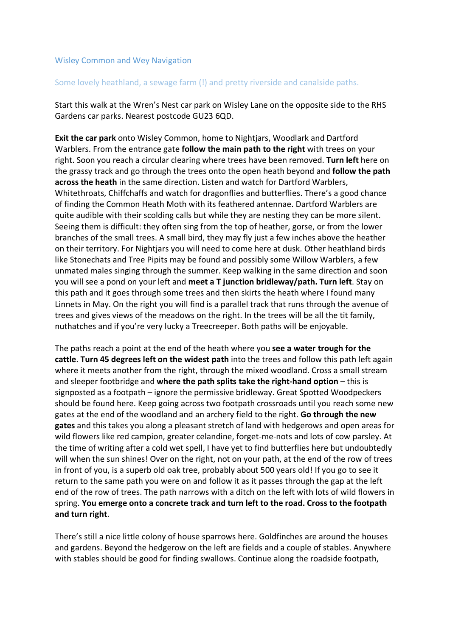## Wisley Common and Wey Navigation

## Some lovely heathland, a sewage farm (!) and pretty riverside and canalside paths.

Start this walk at the Wren's Nest car park on Wisley Lane on the opposite side to the RHS Gardens car parks. Nearest postcode GU23 6QD.

**Exit the car park** onto Wisley Common, home to Nightjars, Woodlark and Dartford Warblers. From the entrance gate **follow the main path to the right** with trees on your right. Soon you reach a circular clearing where trees have been removed. **Turn left** here on the grassy track and go through the trees onto the open heath beyond and **follow the path across the heath** in the same direction. Listen and watch for Dartford Warblers, Whitethroats, Chiffchaffs and watch for dragonflies and butterflies. There's a good chance of finding the Common Heath Moth with its feathered antennae. Dartford Warblers are quite audible with their scolding calls but while they are nesting they can be more silent. Seeing them is difficult: they often sing from the top of heather, gorse, or from the lower branches of the small trees. A small bird, they may fly just a few inches above the heather on their territory. For Nightjars you will need to come here at dusk. Other heathland birds like Stonechats and Tree Pipits may be found and possibly some Willow Warblers, a few unmated males singing through the summer. Keep walking in the same direction and soon you will see a pond on your left and **meet a T junction bridleway/path. Turn left**. Stay on this path and it goes through some trees and then skirts the heath where I found many Linnets in May. On the right you will find is a parallel track that runs through the avenue of trees and gives views of the meadows on the right. In the trees will be all the tit family, nuthatches and if you're very lucky a Treecreeper. Both paths will be enjoyable.

The paths reach a point at the end of the heath where you **see a water trough for the cattle**. **Turn 45 degrees left on the widest path** into the trees and follow this path left again where it meets another from the right, through the mixed woodland. Cross a small stream and sleeper footbridge and **where the path splits take the right-hand option** – this is signposted as a footpath – ignore the permissive bridleway. Great Spotted Woodpeckers should be found here. Keep going across two footpath crossroads until you reach some new gates at the end of the woodland and an archery field to the right. **Go through the new gates** and this takes you along a pleasant stretch of land with hedgerows and open areas for wild flowers like red campion, greater celandine, forget-me-nots and lots of cow parsley. At the time of writing after a cold wet spell, I have yet to find butterflies here but undoubtedly will when the sun shines! Over on the right, not on your path, at the end of the row of trees in front of you, is a superb old oak tree, probably about 500 years old! If you go to see it return to the same path you were on and follow it as it passes through the gap at the left end of the row of trees. The path narrows with a ditch on the left with lots of wild flowers in spring. **You emerge onto a concrete track and turn left to the road. Cross to the footpath and turn right**.

There's still a nice little colony of house sparrows here. Goldfinches are around the houses and gardens. Beyond the hedgerow on the left are fields and a couple of stables. Anywhere with stables should be good for finding swallows. Continue along the roadside footpath,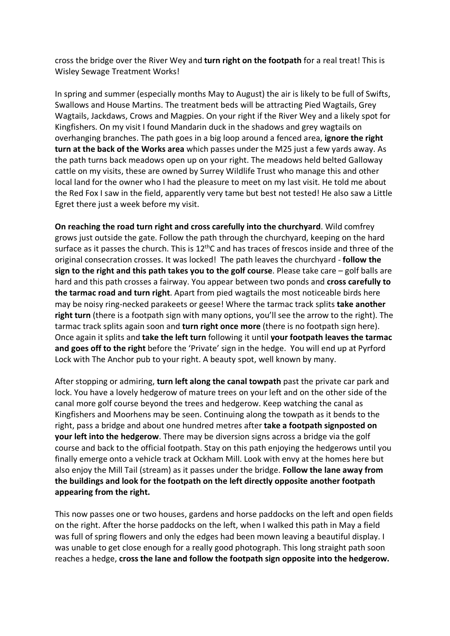cross the bridge over the River Wey and **turn right on the footpath** for a real treat! This is Wisley Sewage Treatment Works!

In spring and summer (especially months May to August) the air is likely to be full of Swifts, Swallows and House Martins. The treatment beds will be attracting Pied Wagtails, Grey Wagtails, Jackdaws, Crows and Magpies. On your right if the River Wey and a likely spot for Kingfishers. On my visit I found Mandarin duck in the shadows and grey wagtails on overhanging branches. The path goes in a big loop around a fenced area, **ignore the right turn at the back of the Works area** which passes under the M25 just a few yards away. As the path turns back meadows open up on your right. The meadows held belted Galloway cattle on my visits, these are owned by Surrey Wildlife Trust who manage this and other local land for the owner who I had the pleasure to meet on my last visit. He told me about the Red Fox I saw in the field, apparently very tame but best not tested! He also saw a Little Egret there just a week before my visit.

**On reaching the road turn right and cross carefully into the churchyard**. Wild comfrey grows just outside the gate. Follow the path through the churchyard, keeping on the hard surface as it passes the church. This is  $12<sup>th</sup>C$  and has traces of frescos inside and three of the original consecration crosses. It was locked! The path leaves the churchyard - **follow the sign to the right and this path takes you to the golf course**. Please take care – golf balls are hard and this path crosses a fairway. You appear between two ponds and **cross carefully to the tarmac road and turn right**. Apart from pied wagtails the most noticeable birds here may be noisy ring-necked parakeets or geese! Where the tarmac track splits **take another right turn** (there is a footpath sign with many options, you'll see the arrow to the right). The tarmac track splits again soon and **turn right once more** (there is no footpath sign here). Once again it splits and **take the left turn** following it until **your footpath leaves the tarmac and goes off to the right** before the 'Private' sign in the hedge. You will end up at Pyrford Lock with The Anchor pub to your right. A beauty spot, well known by many.

After stopping or admiring, **turn left along the canal towpath** past the private car park and lock. You have a lovely hedgerow of mature trees on your left and on the other side of the canal more golf course beyond the trees and hedgerow. Keep watching the canal as Kingfishers and Moorhens may be seen. Continuing along the towpath as it bends to the right, pass a bridge and about one hundred metres after **take a footpath signposted on your left into the hedgerow**. There may be diversion signs across a bridge via the golf course and back to the official footpath. Stay on this path enjoying the hedgerows until you finally emerge onto a vehicle track at Ockham Mill. Look with envy at the homes here but also enjoy the Mill Tail (stream) as it passes under the bridge. **Follow the lane away from the buildings and look for the footpath on the left directly opposite another footpath appearing from the right.** 

This now passes one or two houses, gardens and horse paddocks on the left and open fields on the right. After the horse paddocks on the left, when I walked this path in May a field was full of spring flowers and only the edges had been mown leaving a beautiful display. I was unable to get close enough for a really good photograph. This long straight path soon reaches a hedge, **cross the lane and follow the footpath sign opposite into the hedgerow.**